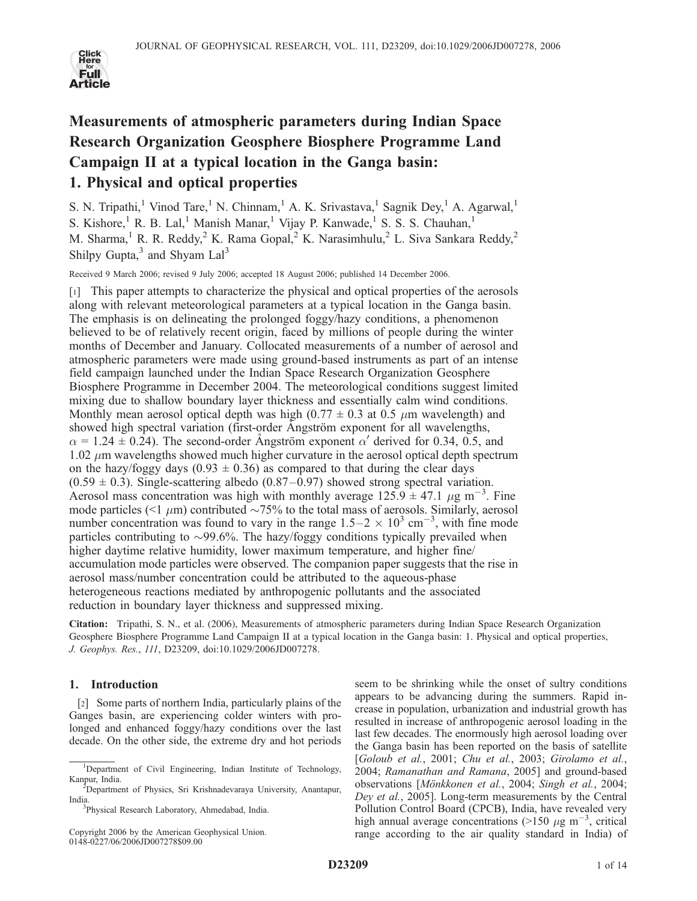

# Measurements of atmospheric parameters during Indian Space Research Organization Geosphere Biosphere Programme Land Campaign II at a typical location in the Ganga basin: 1. Physical and optical properties

S. N. Tripathi,<sup>1</sup> Vinod Tare,<sup>1</sup> N. Chinnam,<sup>1</sup> A. K. Srivastava,<sup>1</sup> Sagnik Dey,<sup>1</sup> A. Agarwal,<sup>1</sup> S. Kishore,<sup>1</sup> R. B. Lal,<sup>1</sup> Manish Manar,<sup>1</sup> Vijay P. Kanwade,<sup>1</sup> S. S. S. Chauhan,<sup>1</sup> M. Sharma,<sup>1</sup> R. R. Reddy,<sup>2</sup> K. Rama Gopal,<sup>2</sup> K. Narasimhulu,<sup>2</sup> L. Siva Sankara Reddy,<sup>2</sup> Shilpy Gupta, $3$  and Shyam Lal<sup>3</sup>

Received 9 March 2006; revised 9 July 2006; accepted 18 August 2006; published 14 December 2006.

[1] This paper attempts to characterize the physical and optical properties of the aerosols along with relevant meteorological parameters at a typical location in the Ganga basin. The emphasis is on delineating the prolonged foggy/hazy conditions, a phenomenon believed to be of relatively recent origin, faced by millions of people during the winter months of December and January. Collocated measurements of a number of aerosol and atmospheric parameters were made using ground-based instruments as part of an intense field campaign launched under the Indian Space Research Organization Geosphere Biosphere Programme in December 2004. The meteorological conditions suggest limited mixing due to shallow boundary layer thickness and essentially calm wind conditions. Monthly mean aerosol optical depth was high (0.77  $\pm$  0.3 at 0.5  $\mu$ m wavelength) and showed high spectral variation (first-order Angström exponent for all wavelengths,  $\alpha$  = 1.24 ± 0.24). The second-order Angström exponent  $\alpha'$  derived for 0.34, 0.5, and  $1.02 \mu$ m wavelengths showed much higher curvature in the aerosol optical depth spectrum on the hazy/foggy days (0.93  $\pm$  0.36) as compared to that during the clear days  $(0.59 \pm 0.3)$ . Single-scattering albedo  $(0.87-0.97)$  showed strong spectral variation. Aerosol mass concentration was high with monthly average  $125.9 \pm 47.1 \mu g m^{-3}$ . Fine mode particles (<1  $\mu$ m) contributed  $\sim$ 75% to the total mass of aerosols. Similarly, aerosol number concentration was found to vary in the range  $1.5-2 \times 10^3$  cm<sup>-3</sup>, with fine mode particles contributing to  $\sim$ 99.6%. The hazy/foggy conditions typically prevailed when higher daytime relative humidity, lower maximum temperature, and higher fine/ accumulation mode particles were observed. The companion paper suggests that the rise in aerosol mass/number concentration could be attributed to the aqueous-phase heterogeneous reactions mediated by anthropogenic pollutants and the associated reduction in boundary layer thickness and suppressed mixing.

Citation: Tripathi, S. N., et al. (2006), Measurements of atmospheric parameters during Indian Space Research Organization Geosphere Biosphere Programme Land Campaign II at a typical location in the Ganga basin: 1. Physical and optical properties, J. Geophys. Res., 111, D23209, doi:10.1029/2006JD007278.

## 1. Introduction

[2] Some parts of northern India, particularly plains of the Ganges basin, are experiencing colder winters with prolonged and enhanced foggy/hazy conditions over the last decade. On the other side, the extreme dry and hot periods

seem to be shrinking while the onset of sultry conditions appears to be advancing during the summers. Rapid increase in population, urbanization and industrial growth has resulted in increase of anthropogenic aerosol loading in the last few decades. The enormously high aerosol loading over the Ganga basin has been reported on the basis of satellite [Goloub et al., 2001; Chu et al., 2003; Girolamo et al., 2004; Ramanathan and Ramana, 2005] and ground-based observations [Mönkkonen et al., 2004; Singh et al., 2004; Dey et al., 2005]. Long-term measurements by the Central Pollution Control Board (CPCB), India, have revealed very high annual average concentrations (>150  $\mu$ g m<sup>-3</sup>, critical range according to the air quality standard in India) of

<sup>&</sup>lt;sup>1</sup>Department of Civil Engineering, Indian Institute of Technology, Kanpur, India.

Department of Physics, Sri Krishnadevaraya University, Anantapur, **India** 

<sup>&</sup>lt;sup>3</sup>Physical Research Laboratory, Ahmedabad, India.

Copyright 2006 by the American Geophysical Union. 0148-0227/06/2006JD007278\$09.00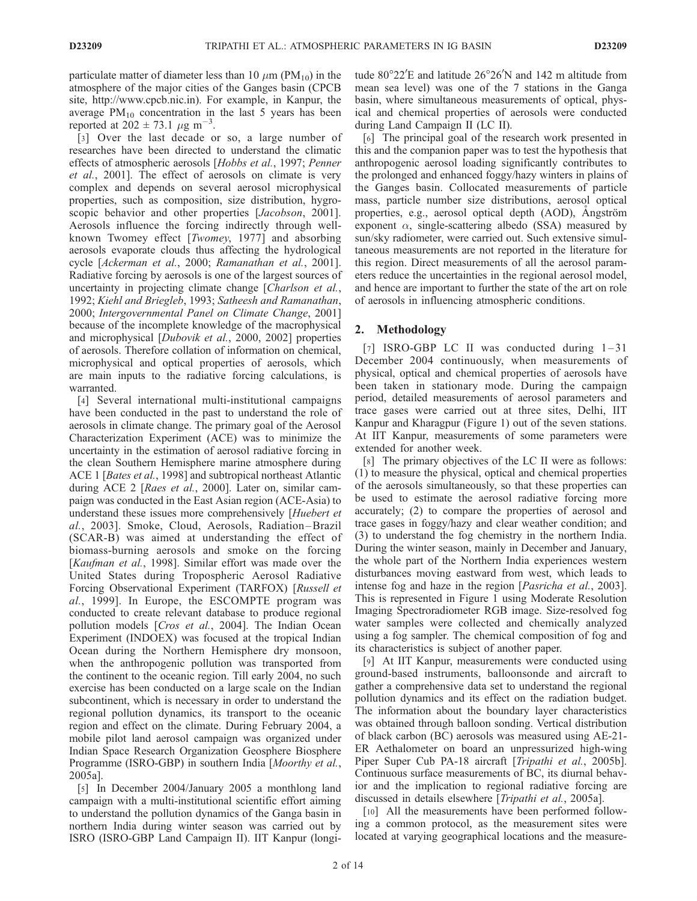particulate matter of diameter less than 10  $\mu$ m (PM<sub>10</sub>) in the atmosphere of the major cities of the Ganges basin (CPCB site, http://www.cpcb.nic.in). For example, in Kanpur, the average  $PM_{10}$  concentration in the last 5 years has been reported at  $202 \pm 73.1 \ \mu g \ m^{-3}$ .

[3] Over the last decade or so, a large number of researches have been directed to understand the climatic effects of atmospheric aerosols [Hobbs et al., 1997; Penner et al., 2001]. The effect of aerosols on climate is very complex and depends on several aerosol microphysical properties, such as composition, size distribution, hygroscopic behavior and other properties [*Jacobson*, 2001]. Aerosols influence the forcing indirectly through wellknown Twomey effect [Twomey, 1977] and absorbing aerosols evaporate clouds thus affecting the hydrological cycle [Ackerman et al., 2000; Ramanathan et al., 2001]. Radiative forcing by aerosols is one of the largest sources of uncertainty in projecting climate change [Charlson et al., 1992; Kiehl and Briegleb, 1993; Satheesh and Ramanathan, 2000; Intergovernmental Panel on Climate Change, 2001] because of the incomplete knowledge of the macrophysical and microphysical [Dubovik et al., 2000, 2002] properties of aerosols. Therefore collation of information on chemical, microphysical and optical properties of aerosols, which are main inputs to the radiative forcing calculations, is warranted.

[4] Several international multi-institutional campaigns have been conducted in the past to understand the role of aerosols in climate change. The primary goal of the Aerosol Characterization Experiment (ACE) was to minimize the uncertainty in the estimation of aerosol radiative forcing in the clean Southern Hemisphere marine atmosphere during ACE 1 [Bates et al., 1998] and subtropical northeast Atlantic during ACE 2 [Raes et al., 2000]. Later on, similar campaign was conducted in the East Asian region (ACE-Asia) to understand these issues more comprehensively [Huebert et al., 2003]. Smoke, Cloud, Aerosols, Radiation-Brazil (SCAR-B) was aimed at understanding the effect of biomass-burning aerosols and smoke on the forcing [Kaufman et al., 1998]. Similar effort was made over the United States during Tropospheric Aerosol Radiative Forcing Observational Experiment (TARFOX) [Russell et al., 1999]. In Europe, the ESCOMPTE program was conducted to create relevant database to produce regional pollution models [Cros et al., 2004]. The Indian Ocean Experiment (INDOEX) was focused at the tropical Indian Ocean during the Northern Hemisphere dry monsoon, when the anthropogenic pollution was transported from the continent to the oceanic region. Till early 2004, no such exercise has been conducted on a large scale on the Indian subcontinent, which is necessary in order to understand the regional pollution dynamics, its transport to the oceanic region and effect on the climate. During February 2004, a mobile pilot land aerosol campaign was organized under Indian Space Research Organization Geosphere Biosphere Programme (ISRO-GBP) in southern India [Moorthy et al., 2005a].

[5] In December 2004/January 2005 a monthlong land campaign with a multi-institutional scientific effort aiming to understand the pollution dynamics of the Ganga basin in northern India during winter season was carried out by ISRO (ISRO-GBP Land Campaign II). IIT Kanpur (longi-

tude  $80^{\circ}22'E$  and latitude  $26^{\circ}26'N$  and 142 m altitude from mean sea level) was one of the 7 stations in the Ganga basin, where simultaneous measurements of optical, physical and chemical properties of aerosols were conducted during Land Campaign II (LC II).

[6] The principal goal of the research work presented in this and the companion paper was to test the hypothesis that anthropogenic aerosol loading significantly contributes to the prolonged and enhanced foggy/hazy winters in plains of the Ganges basin. Collocated measurements of particle mass, particle number size distributions, aerosol optical properties, e.g., aerosol optical depth (AOD), Angström exponent  $\alpha$ , single-scattering albedo (SSA) measured by sun/sky radiometer, were carried out. Such extensive simultaneous measurements are not reported in the literature for this region. Direct measurements of all the aerosol parameters reduce the uncertainties in the regional aerosol model, and hence are important to further the state of the art on role of aerosols in influencing atmospheric conditions.

### 2. Methodology

[7] ISRO-GBP LC II was conducted during  $1-31$ December 2004 continuously, when measurements of physical, optical and chemical properties of aerosols have been taken in stationary mode. During the campaign period, detailed measurements of aerosol parameters and trace gases were carried out at three sites, Delhi, IIT Kanpur and Kharagpur (Figure 1) out of the seven stations. At IIT Kanpur, measurements of some parameters were extended for another week.

[8] The primary objectives of the LC II were as follows: (1) to measure the physical, optical and chemical properties of the aerosols simultaneously, so that these properties can be used to estimate the aerosol radiative forcing more accurately; (2) to compare the properties of aerosol and trace gases in foggy/hazy and clear weather condition; and (3) to understand the fog chemistry in the northern India. During the winter season, mainly in December and January, the whole part of the Northern India experiences western disturbances moving eastward from west, which leads to intense fog and haze in the region [Pasricha et al., 2003]. This is represented in Figure 1 using Moderate Resolution Imaging Spectroradiometer RGB image. Size-resolved fog water samples were collected and chemically analyzed using a fog sampler. The chemical composition of fog and its characteristics is subject of another paper.

[9] At IIT Kanpur, measurements were conducted using ground-based instruments, balloonsonde and aircraft to gather a comprehensive data set to understand the regional pollution dynamics and its effect on the radiation budget. The information about the boundary layer characteristics was obtained through balloon sonding. Vertical distribution of black carbon (BC) aerosols was measured using AE-21- ER Aethalometer on board an unpressurized high-wing Piper Super Cub PA-18 aircraft [Tripathi et al., 2005b]. Continuous surface measurements of BC, its diurnal behavior and the implication to regional radiative forcing are discussed in details elsewhere [Tripathi et al., 2005a].

[10] All the measurements have been performed following a common protocol, as the measurement sites were located at varying geographical locations and the measure-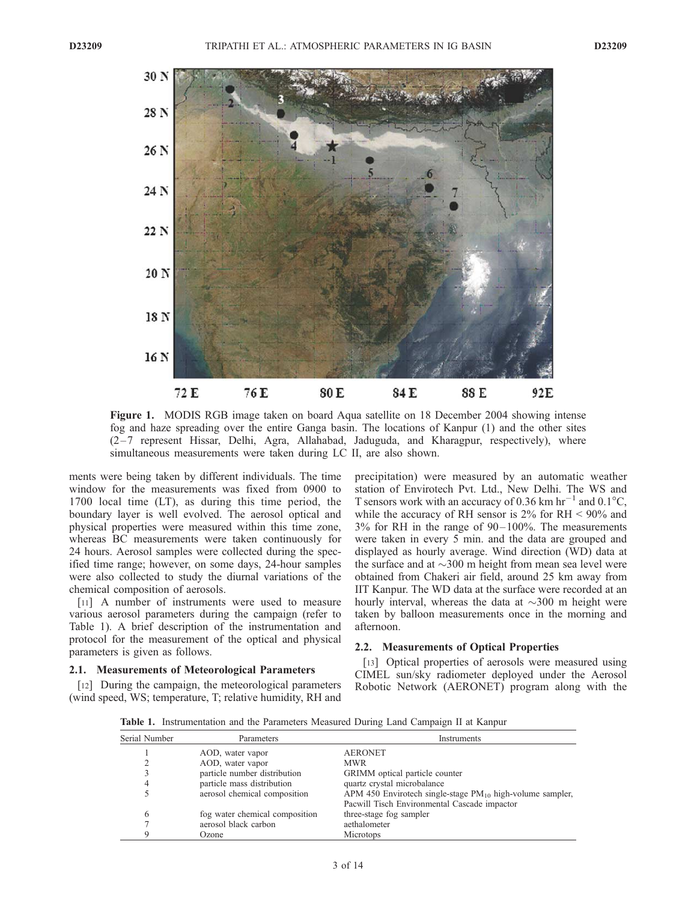

Figure 1. MODIS RGB image taken on board Aqua satellite on 18 December 2004 showing intense fog and haze spreading over the entire Ganga basin. The locations of Kanpur (1) and the other sites  $(2-7$  represent Hissar, Delhi, Agra, Allahabad, Jaduguda, and Kharagpur, respectively), where simultaneous measurements were taken during LC II, are also shown.

ments were being taken by different individuals. The time window for the measurements was fixed from 0900 to 1700 local time (LT), as during this time period, the boundary layer is well evolved. The aerosol optical and physical properties were measured within this time zone, whereas BC measurements were taken continuously for 24 hours. Aerosol samples were collected during the specified time range; however, on some days, 24-hour samples were also collected to study the diurnal variations of the chemical composition of aerosols.

[11] A number of instruments were used to measure various aerosol parameters during the campaign (refer to Table 1). A brief description of the instrumentation and protocol for the measurement of the optical and physical parameters is given as follows.

## 2.1. Measurements of Meteorological Parameters

[12] During the campaign, the meteorological parameters (wind speed, WS; temperature, T; relative humidity, RH and precipitation) were measured by an automatic weather station of Envirotech Pvt. Ltd., New Delhi. The WS and T sensors work with an accuracy of 0.36 km  $hr^{-1}$  and 0.1°C, while the accuracy of RH sensor is  $2\%$  for RH  $\leq 90\%$  and 3% for RH in the range of 90– 100%. The measurements were taken in every 5 min. and the data are grouped and displayed as hourly average. Wind direction (WD) data at the surface and at  $\sim$ 300 m height from mean sea level were obtained from Chakeri air field, around 25 km away from IIT Kanpur. The WD data at the surface were recorded at an hourly interval, whereas the data at  $\sim$ 300 m height were taken by balloon measurements once in the morning and afternoon.

#### 2.2. Measurements of Optical Properties

[13] Optical properties of aerosols were measured using CIMEL sun/sky radiometer deployed under the Aerosol Robotic Network (AERONET) program along with the

Table 1. Instrumentation and the Parameters Measured During Land Campaign II at Kanpur

| Serial Number | Parameters                     | Instruments                                                    |
|---------------|--------------------------------|----------------------------------------------------------------|
|               | AOD, water vapor               | <b>AERONET</b>                                                 |
|               | AOD, water vapor               | <b>MWR</b>                                                     |
|               | particle number distribution   | GRIMM optical particle counter                                 |
|               | particle mass distribution     | quartz crystal microbalance                                    |
|               | aerosol chemical composition   | APM 450 Envirotech single-stage $PM_{10}$ high-volume sampler, |
|               |                                | Pacwill Tisch Environmental Cascade impactor                   |
| 6             | fog water chemical composition | three-stage fog sampler                                        |
|               | aerosol black carbon           | aethalometer                                                   |
|               | Ozone                          | <b>Microtops</b>                                               |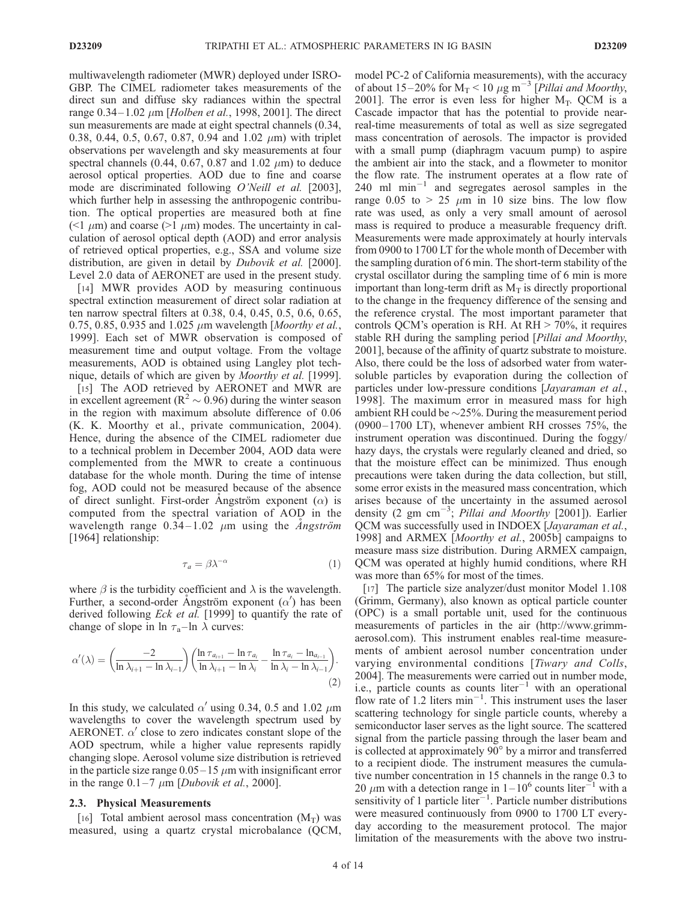multiwavelength radiometer (MWR) deployed under ISRO-GBP. The CIMEL radiometer takes measurements of the direct sun and diffuse sky radiances within the spectral range  $0.34 - 1.02 \mu m$  [*Holben et al.*, 1998, 2001]. The direct sun measurements are made at eight spectral channels (0.34, 0.38, 0.44, 0.5, 0.67, 0.87, 0.94 and 1.02  $\mu$ m) with triplet observations per wavelength and sky measurements at four spectral channels (0.44, 0.67, 0.87 and 1.02  $\mu$ m) to deduce aerosol optical properties. AOD due to fine and coarse mode are discriminated following *O'Neill et al.* [2003], which further help in assessing the anthropogenic contribution. The optical properties are measured both at fine (<1  $\mu$ m) and coarse (>1  $\mu$ m) modes. The uncertainty in calculation of aerosol optical depth (AOD) and error analysis of retrieved optical properties, e.g., SSA and volume size distribution, are given in detail by *Dubovik et al.* [2000]. Level 2.0 data of AERONET are used in the present study.

[14] MWR provides AOD by measuring continuous spectral extinction measurement of direct solar radiation at ten narrow spectral filters at 0.38, 0.4, 0.45, 0.5, 0.6, 0.65, 0.75, 0.85, 0.935 and 1.025  $\mu$ m wavelength [Moorthy et al., 1999]. Each set of MWR observation is composed of measurement time and output voltage. From the voltage measurements, AOD is obtained using Langley plot technique, details of which are given by Moorthy et al. [1999].

[15] The AOD retrieved by AERONET and MWR are in excellent agreement ( $R^2 \sim 0.96$ ) during the winter season in the region with maximum absolute difference of 0.06 (K. K. Moorthy et al., private communication, 2004). Hence, during the absence of the CIMEL radiometer due to a technical problem in December 2004, AOD data were complemented from the MWR to create a continuous database for the whole month. During the time of intense fog, AOD could not be measured because of the absence of direct sunlight. First-order Angström exponent  $(\alpha)$  is computed from the spectral variation of AOD in the wavelength range  $0.34 - 1.02$   $\mu$ m using the *Angström* [1964] relationship:

$$
\tau_a = \beta \lambda^{-\alpha} \tag{1}
$$

where  $\beta$  is the turbidity coefficient and  $\lambda$  is the wavelength. Further, a second-order Ångström exponent  $(\alpha')$  has been derived following *Eck et al.* [1999] to quantify the rate of change of slope in  $\ln \tau_a$ –ln  $\lambda$  curves:

$$
\alpha'(\lambda) = \left(\frac{-2}{\ln \lambda_{i+1} - \ln \lambda_{i-1}}\right) \left(\frac{\ln \tau_{a_{i+1}} - \ln \tau_{a_i}}{\ln \lambda_{i+1} - \ln \lambda_i} - \frac{\ln \tau_{a_i} - \ln_{a_{i-1}}}{\ln \lambda_i - \ln \lambda_{i-1}}\right). \tag{2}
$$

In this study, we calculated  $\alpha'$  using 0.34, 0.5 and 1.02  $\mu$ m wavelengths to cover the wavelength spectrum used by AERONET.  $\alpha'$  close to zero indicates constant slope of the AOD spectrum, while a higher value represents rapidly changing slope. Aerosol volume size distribution is retrieved in the particle size range  $0.05-15 \mu m$  with insignificant error in the range  $0.1-7 \mu m$  [*Dubovik et al.*, 2000].

#### 2.3. Physical Measurements

[16] Total ambient aerosol mass concentration  $(M_T)$  was measured, using a quartz crystal microbalance (QCM, model PC-2 of California measurements), with the accuracy of about 15–20% for  $M_T < 10 \ \mu g \ m^{-3}$  [Pillai and Moorthy, 2001]. The error is even less for higher  $M_T$ . QCM is a Cascade impactor that has the potential to provide nearreal-time measurements of total as well as size segregated mass concentration of aerosols. The impactor is provided with a small pump (diaphragm vacuum pump) to aspire the ambient air into the stack, and a flowmeter to monitor the flow rate. The instrument operates at a flow rate of  $240$  ml min<sup>-1</sup> and segregates aerosol samples in the range 0.05 to > 25  $\mu$ m in 10 size bins. The low flow rate was used, as only a very small amount of aerosol mass is required to produce a measurable frequency drift. Measurements were made approximately at hourly intervals from 0900 to 1700 LT for the whole month of December with the sampling duration of 6 min. The short-term stability of the crystal oscillator during the sampling time of 6 min is more important than long-term drift as  $M_T$  is directly proportional to the change in the frequency difference of the sensing and the reference crystal. The most important parameter that controls QCM's operation is RH. At RH > 70%, it requires stable RH during the sampling period [Pillai and Moorthy, 2001], because of the affinity of quartz substrate to moisture. Also, there could be the loss of adsorbed water from watersoluble particles by evaporation during the collection of particles under low-pressure conditions [Jayaraman et al., 1998]. The maximum error in measured mass for high ambient RH could be  $\sim$  25%. During the measurement period (0900– 1700 LT), whenever ambient RH crosses 75%, the instrument operation was discontinued. During the foggy/ hazy days, the crystals were regularly cleaned and dried, so that the moisture effect can be minimized. Thus enough precautions were taken during the data collection, but still, some error exists in the measured mass concentration, which arises because of the uncertainty in the assumed aerosol density (2 gm cm<sup>-3</sup>; Pillai and Moorthy [2001]). Earlier QCM was successfully used in INDOEX [Jayaraman et al., 1998] and ARMEX [Moorthy et al., 2005b] campaigns to measure mass size distribution. During ARMEX campaign, QCM was operated at highly humid conditions, where RH was more than 65% for most of the times.

[17] The particle size analyzer/dust monitor Model 1.108 (Grimm, Germany), also known as optical particle counter (OPC) is a small portable unit, used for the continuous measurements of particles in the air (http://www.grimmaerosol.com). This instrument enables real-time measurements of ambient aerosol number concentration under varying environmental conditions [Tiwary and Colls, 2004]. The measurements were carried out in number mode, i.e., particle counts as counts  $\text{liter}^{-1}$  with an operational flow rate of 1.2 liters  $min^{-1}$ . This instrument uses the laser scattering technology for single particle counts, whereby a semiconductor laser serves as the light source. The scattered signal from the particle passing through the laser beam and is collected at approximately 90° by a mirror and transferred to a recipient diode. The instrument measures the cumulative number concentration in 15 channels in the range 0.3 to 20  $\mu$ m with a detection range in 1–10<sup>6</sup> counts liter<sup>-1</sup> with a sensitivity of 1 particle liter<sup>-1</sup>. Particle number distributions were measured continuously from 0900 to 1700 LT everyday according to the measurement protocol. The major limitation of the measurements with the above two instru-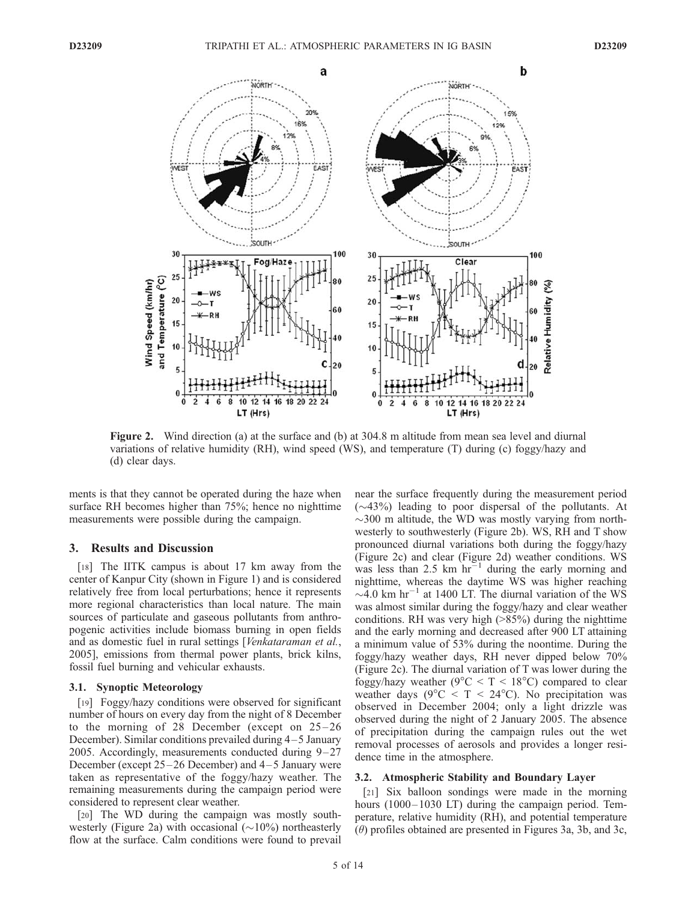

Figure 2. Wind direction (a) at the surface and (b) at 304.8 m altitude from mean sea level and diurnal variations of relative humidity (RH), wind speed (WS), and temperature (T) during (c) foggy/hazy and (d) clear days.

ments is that they cannot be operated during the haze when surface RH becomes higher than 75%; hence no nighttime measurements were possible during the campaign.

#### 3. Results and Discussion

[18] The IITK campus is about 17 km away from the center of Kanpur City (shown in Figure 1) and is considered relatively free from local perturbations; hence it represents more regional characteristics than local nature. The main sources of particulate and gaseous pollutants from anthropogenic activities include biomass burning in open fields and as domestic fuel in rural settings [Venkataraman et al., 2005], emissions from thermal power plants, brick kilns, fossil fuel burning and vehicular exhausts.

## 3.1. Synoptic Meteorology

[19] Foggy/hazy conditions were observed for significant number of hours on every day from the night of 8 December to the morning of 28 December (except on  $25-26$ December). Similar conditions prevailed during 4-5 January 2005. Accordingly, measurements conducted during  $9-27$ December (except  $25-26$  December) and  $4-5$  January were taken as representative of the foggy/hazy weather. The remaining measurements during the campaign period were considered to represent clear weather.

[20] The WD during the campaign was mostly southwesterly (Figure 2a) with occasional  $(\sim 10\%)$  northeasterly flow at the surface. Calm conditions were found to prevail near the surface frequently during the measurement period  $(\sim 43\%)$  leading to poor dispersal of the pollutants. At  $\sim$ 300 m altitude, the WD was mostly varying from northwesterly to southwesterly (Figure 2b). WS, RH and T show pronounced diurnal variations both during the foggy/hazy (Figure 2c) and clear (Figure 2d) weather conditions. WS was less than 2.5 km  $hr<sup>-1</sup>$  during the early morning and nighttime, whereas the daytime WS was higher reaching  $\sim$ 4.0 km hr<sup>-1</sup> at 1400 LT. The diurnal variation of the WS was almost similar during the foggy/hazy and clear weather conditions. RH was very high (>85%) during the nighttime and the early morning and decreased after 900 LT attaining a minimum value of 53% during the noontime. During the foggy/hazy weather days, RH never dipped below 70% (Figure 2c). The diurnal variation of T was lower during the foggy/hazy weather ( $9^{\circ}$ C < T <  $18^{\circ}$ C) compared to clear weather days ( $9^{\circ}$ C < T <  $24^{\circ}$ C). No precipitation was observed in December 2004; only a light drizzle was observed during the night of 2 January 2005. The absence of precipitation during the campaign rules out the wet removal processes of aerosols and provides a longer residence time in the atmosphere.

#### 3.2. Atmospheric Stability and Boundary Layer

[21] Six balloon sondings were made in the morning hours (1000–1030 LT) during the campaign period. Temperature, relative humidity (RH), and potential temperature  $(\theta)$  profiles obtained are presented in Figures 3a, 3b, and 3c,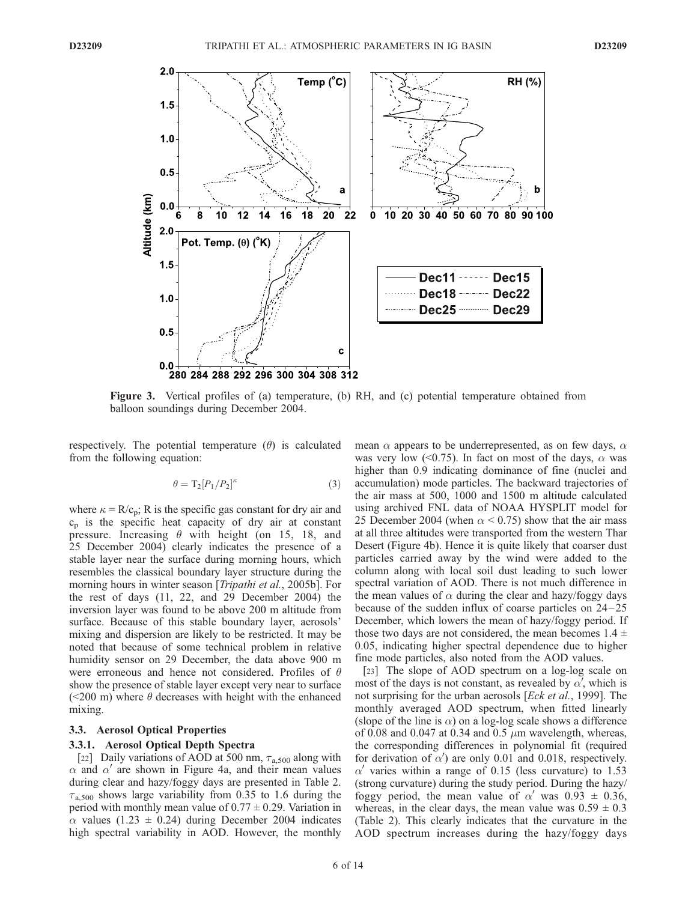

Figure 3. Vertical profiles of (a) temperature, (b) RH, and (c) potential temperature obtained from balloon soundings during December 2004.

respectively. The potential temperature  $(\theta)$  is calculated from the following equation:

$$
\theta = \mathrm{T}_2 [P_1/P_2]^\kappa \tag{3}
$$

where  $\kappa = R/c_p$ ; R is the specific gas constant for dry air and  $c_p$  is the specific heat capacity of dry air at constant pressure. Increasing  $\theta$  with height (on 15, 18, and 25 December 2004) clearly indicates the presence of a stable layer near the surface during morning hours, which resembles the classical boundary layer structure during the morning hours in winter season [*Tripathi et al.*, 2005b]. For the rest of days (11, 22, and 29 December 2004) the inversion layer was found to be above 200 m altitude from surface. Because of this stable boundary layer, aerosols' mixing and dispersion are likely to be restricted. It may be noted that because of some technical problem in relative humidity sensor on 29 December, the data above 900 m were erroneous and hence not considered. Profiles of  $\theta$ show the presence of stable layer except very near to surface ( $\leq$ 200 m) where  $\theta$  decreases with height with the enhanced mixing.

## 3.3. Aerosol Optical Properties

## 3.3.1. Aerosol Optical Depth Spectra

[22] Daily variations of AOD at 500 nm,  $\tau_{a,500}$  along with  $\alpha$  and  $\alpha'$  are shown in Figure 4a, and their mean values during clear and hazy/foggy days are presented in Table 2.  $\tau_{a,500}$  shows large variability from 0.35 to 1.6 during the period with monthly mean value of  $0.77 \pm 0.29$ . Variation in  $\alpha$  values (1.23  $\pm$  0.24) during December 2004 indicates high spectral variability in AOD. However, the monthly mean  $\alpha$  appears to be underrepresented, as on few days,  $\alpha$ was very low (<0.75). In fact on most of the days,  $\alpha$  was higher than 0.9 indicating dominance of fine (nuclei and accumulation) mode particles. The backward trajectories of the air mass at 500, 1000 and 1500 m altitude calculated using archived FNL data of NOAA HYSPLIT model for 25 December 2004 (when  $\alpha$  < 0.75) show that the air mass at all three altitudes were transported from the western Thar Desert (Figure 4b). Hence it is quite likely that coarser dust particles carried away by the wind were added to the column along with local soil dust leading to such lower spectral variation of AOD. There is not much difference in the mean values of  $\alpha$  during the clear and hazy/foggy days because of the sudden influx of coarse particles on  $24-25$ December, which lowers the mean of hazy/foggy period. If those two days are not considered, the mean becomes  $1.4 \pm$ 0.05, indicating higher spectral dependence due to higher fine mode particles, also noted from the AOD values.

[23] The slope of AOD spectrum on a log-log scale on most of the days is not constant, as revealed by  $\alpha'$ , which is not surprising for the urban aerosols [*Eck et al.*, 1999]. The monthly averaged AOD spectrum, when fitted linearly (slope of the line is  $\alpha$ ) on a log-log scale shows a difference of 0.08 and 0.047 at 0.34 and 0.5  $\mu$ m wavelength, whereas, the corresponding differences in polynomial fit (required for derivation of  $\alpha'$ ) are only 0.01 and 0.018, respectively.  $\alpha'$  varies within a range of 0.15 (less curvature) to 1.53 (strong curvature) during the study period. During the hazy/ foggy period, the mean value of  $\alpha'$  was 0.93  $\pm$  0.36, whereas, in the clear days, the mean value was  $0.59 \pm 0.3$ (Table 2). This clearly indicates that the curvature in the AOD spectrum increases during the hazy/foggy days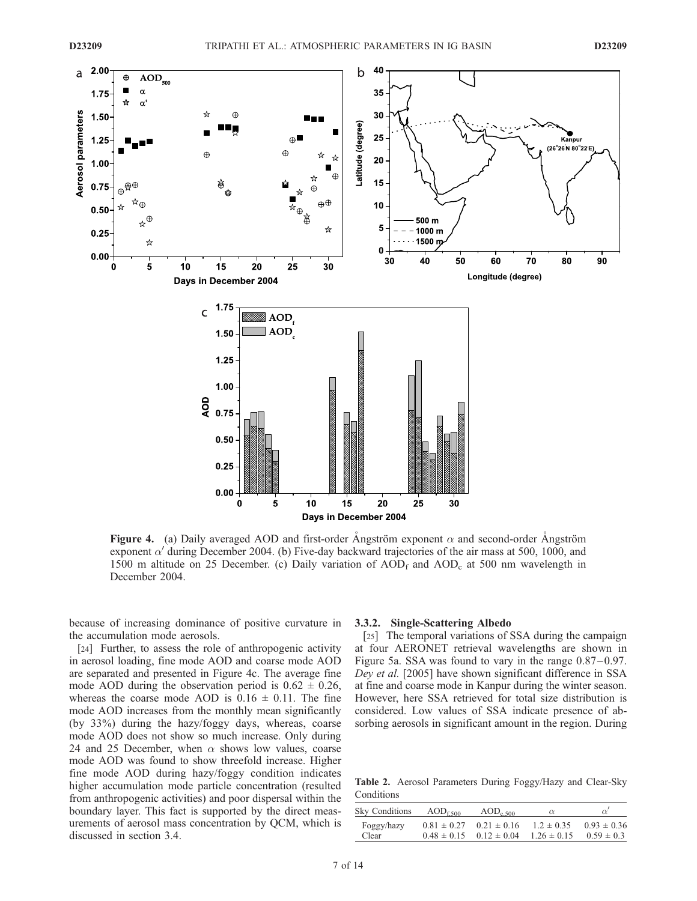

Figure 4. (a) Daily averaged AOD and first-order Angström exponent  $\alpha$  and second-order Angström exponent  $\alpha'$  during December 2004. (b) Five-day backward trajectories of the air mass at 500, 1000, and 1500 m altitude on 25 December. (c) Daily variation of  $AOD<sub>f</sub>$  and  $AOD<sub>c</sub>$  at 500 nm wavelength in December 2004.

because of increasing dominance of positive curvature in the accumulation mode aerosols.

[24] Further, to assess the role of anthropogenic activity in aerosol loading, fine mode AOD and coarse mode AOD are separated and presented in Figure 4c. The average fine mode AOD during the observation period is  $0.62 \pm 0.26$ , whereas the coarse mode AOD is  $0.16 \pm 0.11$ . The fine mode AOD increases from the monthly mean significantly (by 33%) during the hazy/foggy days, whereas, coarse mode AOD does not show so much increase. Only during 24 and 25 December, when  $\alpha$  shows low values, coarse mode AOD was found to show threefold increase. Higher fine mode AOD during hazy/foggy condition indicates higher accumulation mode particle concentration (resulted from anthropogenic activities) and poor dispersal within the boundary layer. This fact is supported by the direct measurements of aerosol mass concentration by QCM, which is discussed in section 3.4.

#### 3.3.2. Single-Scattering Albedo

[25] The temporal variations of SSA during the campaign at four AERONET retrieval wavelengths are shown in Figure 5a. SSA was found to vary in the range  $0.87-0.97$ . Dey et al. [2005] have shown significant difference in SSA at fine and coarse mode in Kanpur during the winter season. However, here SSA retrieved for total size distribution is considered. Low values of SSA indicate presence of absorbing aerosols in significant amount in the region. During

Table 2. Aerosol Parameters During Foggy/Hazy and Clear-Sky Conditions

| Sky Conditions | $AOD_{f,500}$   | $AOD_{c,500}$   | $\alpha$        |                 |
|----------------|-----------------|-----------------|-----------------|-----------------|
| Foggy/hazy     | $0.81 \pm 0.27$ | $0.21 \pm 0.16$ | $12 \pm 0.35$   | $0.93 \pm 0.36$ |
| Clear          | $0.48 \pm 0.15$ | $0.12 \pm 0.04$ | $1.26 \pm 0.15$ | $0.59 \pm 0.3$  |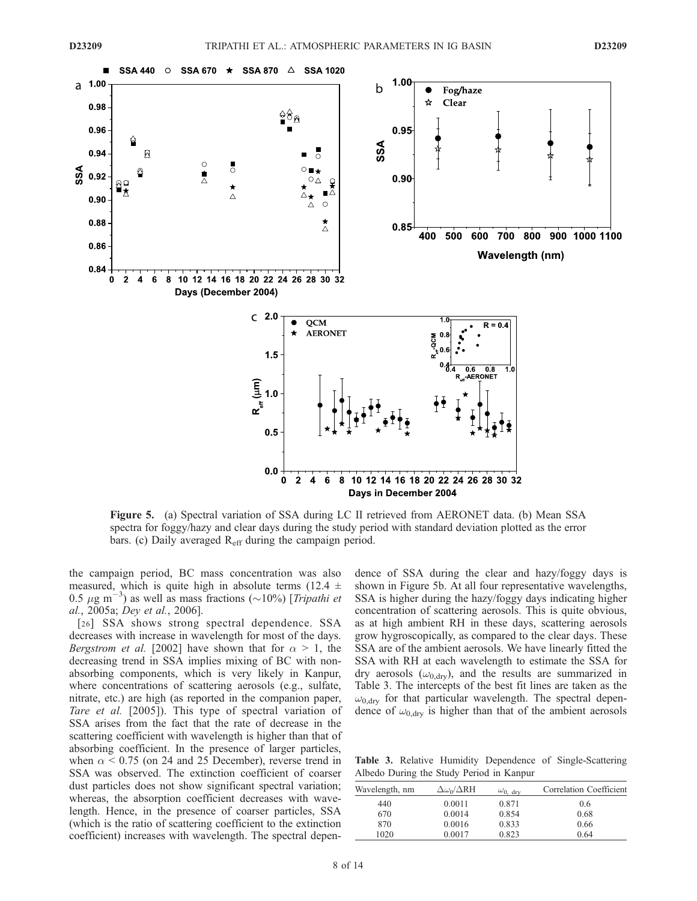

Figure 5. (a) Spectral variation of SSA during LC II retrieved from AERONET data. (b) Mean SSA spectra for foggy/hazy and clear days during the study period with standard deviation plotted as the error bars. (c) Daily averaged  $R_{\text{eff}}$  during the campaign period.

the campaign period, BC mass concentration was also measured, which is quite high in absolute terms (12.4  $\pm$ 0.5  $\mu$ g m<sup>-3</sup>) as well as mass fractions (~10%) [*Tripathi et* al., 2005a; Dey et al., 2006].

[26] SSA shows strong spectral dependence. SSA decreases with increase in wavelength for most of the days. *Bergstrom et al.* [2002] have shown that for  $\alpha > 1$ , the decreasing trend in SSA implies mixing of BC with nonabsorbing components, which is very likely in Kanpur, where concentrations of scattering aerosols (e.g., sulfate, nitrate, etc.) are high (as reported in the companion paper, Tare et al. [2005]). This type of spectral variation of SSA arises from the fact that the rate of decrease in the scattering coefficient with wavelength is higher than that of absorbing coefficient. In the presence of larger particles, when  $\alpha$  < 0.75 (on 24 and 25 December), reverse trend in SSA was observed. The extinction coefficient of coarser dust particles does not show significant spectral variation; whereas, the absorption coefficient decreases with wavelength. Hence, in the presence of coarser particles, SSA (which is the ratio of scattering coefficient to the extinction coefficient) increases with wavelength. The spectral dependence of SSA during the clear and hazy/foggy days is shown in Figure 5b. At all four representative wavelengths, SSA is higher during the hazy/foggy days indicating higher concentration of scattering aerosols. This is quite obvious, as at high ambient RH in these days, scattering aerosols grow hygroscopically, as compared to the clear days. These SSA are of the ambient aerosols. We have linearly fitted the SSA with RH at each wavelength to estimate the SSA for dry aerosols  $(\omega_{0, dry})$ , and the results are summarized in Table 3. The intercepts of the best fit lines are taken as the  $\omega_{0, \text{drv}}$  for that particular wavelength. The spectral dependence of  $\omega_{0, \text{dry}}$  is higher than that of the ambient aerosols

Table 3. Relative Humidity Dependence of Single-Scattering Albedo During the Study Period in Kanpur

| Wavelength, nm | $\Delta\omega_0/\Delta RH$ | $\omega_{0.}$ drv | Correlation Coefficient |
|----------------|----------------------------|-------------------|-------------------------|
| 440            | 0.0011                     | 0.871             | 0.6                     |
| 670            | 0.0014                     | 0.854             | 0.68                    |
| 870            | 0.0016                     | 0.833             | 0.66                    |
| 1020           | 0.0017                     | 0.823             | 0.64                    |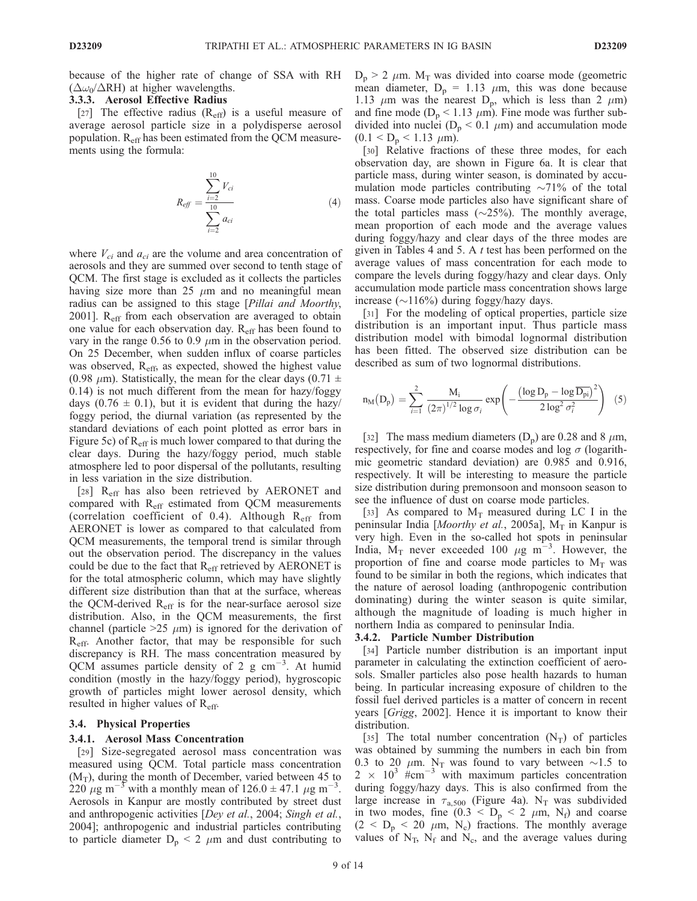because of the higher rate of change of SSA with RH  $(\Delta \omega_0 / \Delta RH)$  at higher wavelengths.

## 3.3.3. Aerosol Effective Radius

[27] The effective radius  $(R<sub>eff</sub>)$  is a useful measure of average aerosol particle size in a polydisperse aerosol population.  $R_{\text{eff}}$  has been estimated from the QCM measurements using the formula:

$$
R_{\text{eff}} = \frac{\sum_{i=2}^{10} V_{ci}}{\sum_{i=2}^{10} a_{ci}} \tag{4}
$$

where  $V_{ci}$  and  $a_{ci}$  are the volume and area concentration of aerosols and they are summed over second to tenth stage of QCM. The first stage is excluded as it collects the particles having size more than 25  $\mu$ m and no meaningful mean radius can be assigned to this stage [*Pillai and Moorthy*, 2001]. R<sub>eff</sub> from each observation are averaged to obtain one value for each observation day. Reff has been found to vary in the range 0.56 to 0.9  $\mu$ m in the observation period. On 25 December, when sudden influx of coarse particles was observed, R<sub>eff</sub>, as expected, showed the highest value (0.98  $\mu$ m). Statistically, the mean for the clear days (0.71  $\pm$ 0.14) is not much different from the mean for hazy/foggy days (0.76  $\pm$  0.1), but it is evident that during the hazy/ foggy period, the diurnal variation (as represented by the standard deviations of each point plotted as error bars in Figure 5c) of  $R<sub>eff</sub>$  is much lower compared to that during the clear days. During the hazy/foggy period, much stable atmosphere led to poor dispersal of the pollutants, resulting in less variation in the size distribution.

[28] R<sub>eff</sub> has also been retrieved by AERONET and compared with  $R_{\text{eff}}$  estimated from QCM measurements (correlation coefficient of 0.4). Although  $R_{\text{eff}}$  from AERONET is lower as compared to that calculated from QCM measurements, the temporal trend is similar through out the observation period. The discrepancy in the values could be due to the fact that  $R_{\text{eff}}$  retrieved by AERONET is for the total atmospheric column, which may have slightly different size distribution than that at the surface, whereas the QCM-derived  $R_{\text{eff}}$  is for the near-surface aerosol size distribution. Also, in the QCM measurements, the first channel (particle  $>25 \mu m$ ) is ignored for the derivation of R<sub>eff</sub>. Another factor, that may be responsible for such discrepancy is RH. The mass concentration measured by QCM assumes particle density of 2 g  $cm^{-3}$ . At humid condition (mostly in the hazy/foggy period), hygroscopic growth of particles might lower aerosol density, which resulted in higher values of Reff.

#### 3.4. Physical Properties

#### 3.4.1. Aerosol Mass Concentration

[29] Size-segregated aerosol mass concentration was measured using QCM. Total particle mass concentration  $(M_T)$ , during the month of December, varied between 45 to  $220 \mu g$  m<sup>-3</sup> with a monthly mean of  $126.0 \pm 47.1 \mu g$  m<sup>-3</sup>. Aerosols in Kanpur are mostly contributed by street dust and anthropogenic activities [Dey et al., 2004; Singh et al., 2004]; anthropogenic and industrial particles contributing to particle diameter  $D_p < 2 \mu m$  and dust contributing to  $D_p$  > 2  $\mu$ m. M<sub>T</sub> was divided into coarse mode (geometric mean diameter,  $D_p = 1.13 \mu m$ , this was done because 1.13  $\mu$ m was the nearest D<sub>p</sub>, which is less than 2  $\mu$ m) and fine mode ( $D_p < 1.13 \mu m$ ). Fine mode was further subdivided into nuclei ( $D_p < 0.1 \mu m$ ) and accumulation mode  $(0.1 < D_p < 1.13 \mu m)$ .

[30] Relative fractions of these three modes, for each observation day, are shown in Figure 6a. It is clear that particle mass, during winter season, is dominated by accumulation mode particles contributing  $\sim$ 71% of the total mass. Coarse mode particles also have significant share of the total particles mass  $(\sim 25\%)$ . The monthly average, mean proportion of each mode and the average values during foggy/hazy and clear days of the three modes are given in Tables 4 and 5. A  $t$  test has been performed on the average values of mass concentration for each mode to compare the levels during foggy/hazy and clear days. Only accumulation mode particle mass concentration shows large increase  $(\sim116\%)$  during foggy/hazy days.

[31] For the modeling of optical properties, particle size distribution is an important input. Thus particle mass distribution model with bimodal lognormal distribution has been fitted. The observed size distribution can be described as sum of two lognormal distributions.

$$
n_M(D_p) = \sum_{i=1}^2 \frac{M_i}{(2\pi)^{1/2} \log \sigma_i} \exp\left(-\frac{\left(\log D_p - \log \overline{D_{pi}}\right)^2}{2 \log^2 \sigma_i^2}\right) \tag{5}
$$

[32] The mass medium diameters  $(D_p)$  are 0.28 and 8  $\mu$ m, respectively, for fine and coarse modes and  $log \sigma$  (logarithmic geometric standard deviation) are 0.985 and 0.916, respectively. It will be interesting to measure the particle size distribution during premonsoon and monsoon season to see the influence of dust on coarse mode particles.

[33] As compared to  $M_T$  measured during LC I in the peninsular India [Moorthy et al., 2005a],  $M_T$  in Kanpur is very high. Even in the so-called hot spots in peninsular India,  $M_T$  never exceeded 100  $\mu$ g m<sup>-3</sup>. However, the proportion of fine and coarse mode particles to  $M_T$  was found to be similar in both the regions, which indicates that the nature of aerosol loading (anthropogenic contribution dominating) during the winter season is quite similar, although the magnitude of loading is much higher in northern India as compared to peninsular India.

## 3.4.2. Particle Number Distribution

[34] Particle number distribution is an important input parameter in calculating the extinction coefficient of aerosols. Smaller particles also pose health hazards to human being. In particular increasing exposure of children to the fossil fuel derived particles is a matter of concern in recent years [Grigg, 2002]. Hence it is important to know their distribution.

[35] The total number concentration  $(N_T)$  of particles was obtained by summing the numbers in each bin from 0.3 to 20  $\mu$ m. N<sub>T</sub> was found to vary between  $\sim$ 1.5 to  $2 \times 10^3$  #cm<sup>-3</sup> with maximum particles concentration during foggy/hazy days. This is also confirmed from the large increase in  $\tau_{a,500}$  (Figure 4a). N<sub>T</sub> was subdivided in two modes, fine  $(0.3 \le D_p \le 2 \mu m, N_f)$  and coarse  $(2 < D<sub>p</sub> < 20 \mu m, N<sub>c</sub>)$  fractions. The monthly average values of  $N_T$ ,  $N_f$  and  $N_c$ , and the average values during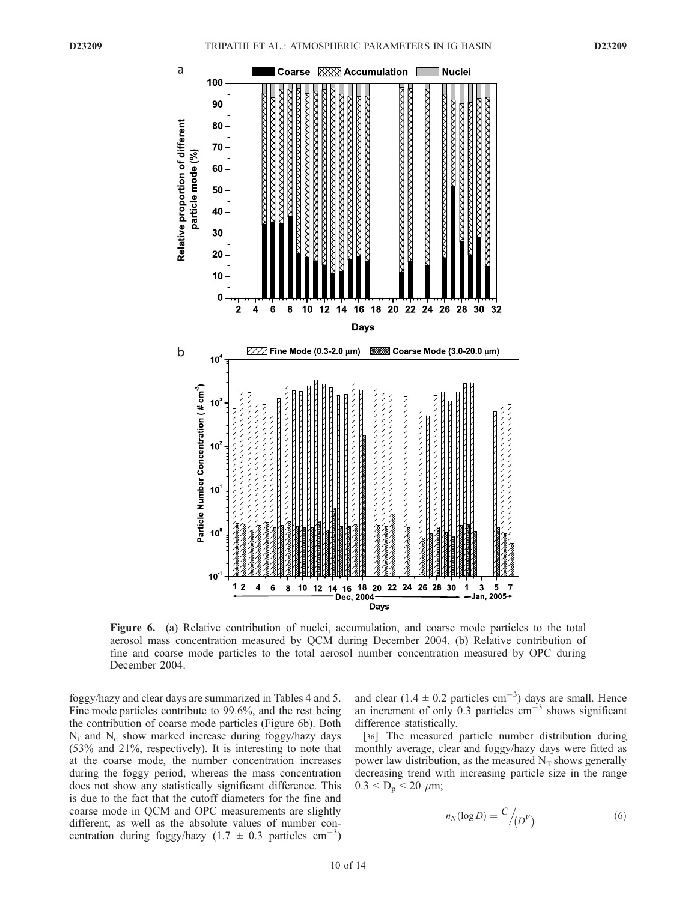

Figure 6. (a) Relative contribution of nuclei, accumulation, and coarse mode particles to the total aerosol mass concentration measured by QCM during December 2004. (b) Relative contribution of fine and coarse mode particles to the total aerosol number concentration measured by OPC during December 2004.

foggy/hazy and clear days are summarized in Tables 4 and 5. Fine mode particles contribute to 99.6%, and the rest being the contribution of coarse mode particles (Figure 6b). Both  $N_f$  and  $N_c$  show marked increase during foggy/hazy days (53% and 21%, respectively). It is interesting to note that at the coarse mode, the number concentration increases during the foggy period, whereas the mass concentration does not show any statistically significant difference. This is due to the fact that the cutoff diameters for the fine and coarse mode in QCM and OPC measurements are slightly different; as well as the absolute values of number concentration during foggy/hazy  $(1.7 \pm 0.3 \text{ particles cm}^{-3})$ 

and clear  $(1.4 \pm 0.2 \text{ particles cm}^{-3})$  days are small. Hence an increment of only 0.3 particles  $\text{cm}^{-3}$  shows significant difference statistically.

[36] The measured particle number distribution during monthly average, clear and foggy/hazy days were fitted as power law distribution, as the measured  $N_T$  shows generally decreasing trend with increasing particle size in the range  $0.3 < D_p < 20 \mu m$ ;

$$
n_N(\log D) = \frac{C}{\left(\frac{D^V}{\rho}\right)}\tag{6}
$$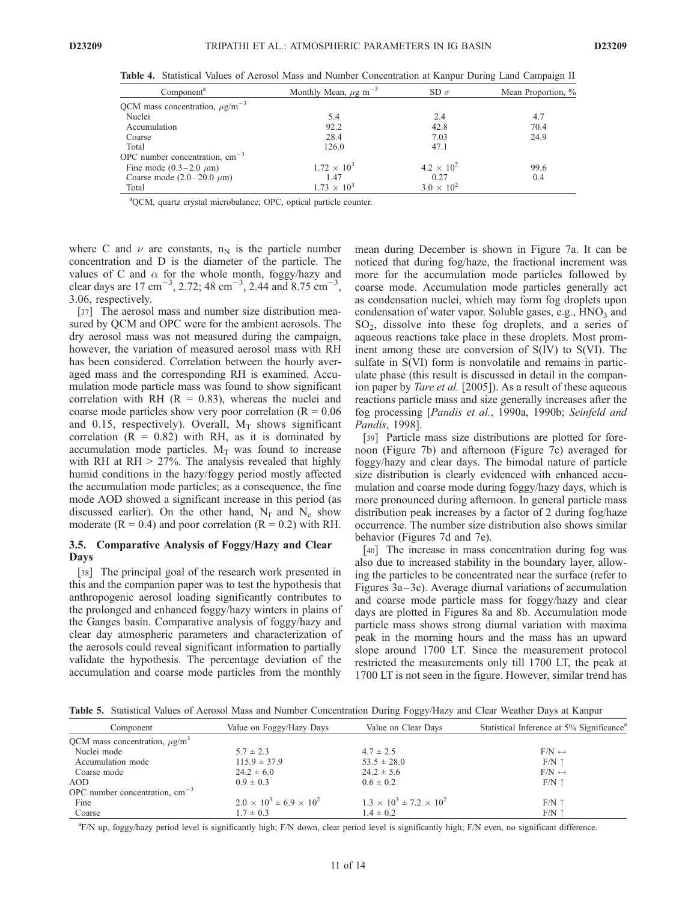| Component <sup>a</sup>                          | Monthly Mean, $\mu$ g m <sup>-3</sup> | SD $\sigma$         | Mean Proportion, % |  |
|-------------------------------------------------|---------------------------------------|---------------------|--------------------|--|
| QCM mass concentration, $\mu$ g/m <sup>-3</sup> |                                       |                     |                    |  |
| Nuclei                                          | 5.4                                   | 2.4                 | 4.7                |  |
| Accumulation                                    | 92.2                                  | 42.8                | 70.4               |  |
| Coarse                                          | 28.4                                  | 7.03                | 24.9               |  |
| Total                                           | 126.0                                 | 47.1                |                    |  |
| OPC number concentration, $cm^{-3}$             |                                       |                     |                    |  |
| Fine mode $(0.3-2.0 \mu m)$                     | $1.72 \times 10^{3}$                  | $4.2 \times 10^{2}$ | 99.6               |  |
| Coarse mode $(2.0-20.0 \mu m)$                  | 1.47                                  | 0.27                | 0.4                |  |
| Total                                           | $1.73 \times 10^{3}$                  | $3.0 \times 10^{2}$ |                    |  |

Table 4. Statistical Values of Aerosol Mass and Number Concentration at Kanpur During Land Campaign II

<sup>a</sup>QCM, quartz crystal microbalance; OPC, optical particle counter.

where C and  $\nu$  are constants, n<sub>N</sub> is the particle number concentration and D is the diameter of the particle. The values of C and  $\alpha$  for the whole month, foggy/hazy and clear days are  $17 \text{ cm}^{-3}$ , 2.72; 48 cm<sup>-3</sup>, 2.44 and 8.75 cm<sup>-3</sup>, 3.06, respectively.

[37] The aerosol mass and number size distribution measured by QCM and OPC were for the ambient aerosols. The dry aerosol mass was not measured during the campaign, however, the variation of measured aerosol mass with RH has been considered. Correlation between the hourly averaged mass and the corresponding RH is examined. Accumulation mode particle mass was found to show significant correlation with RH  $(R = 0.83)$ , whereas the nuclei and coarse mode particles show very poor correlation ( $R = 0.06$ ) and 0.15, respectively). Overall,  $M_T$  shows significant correlation  $(R = 0.82)$  with RH, as it is dominated by accumulation mode particles.  $M_T$  was found to increase with RH at  $RH > 27\%$ . The analysis revealed that highly humid conditions in the hazy/foggy period mostly affected the accumulation mode particles; as a consequence, the fine mode AOD showed a significant increase in this period (as discussed earlier). On the other hand,  $N_f$  and  $N_c$  show moderate ( $R = 0.4$ ) and poor correlation ( $R = 0.2$ ) with RH.

## 3.5. Comparative Analysis of Foggy/Hazy and Clear Days

[38] The principal goal of the research work presented in this and the companion paper was to test the hypothesis that anthropogenic aerosol loading significantly contributes to the prolonged and enhanced foggy/hazy winters in plains of the Ganges basin. Comparative analysis of foggy/hazy and clear day atmospheric parameters and characterization of the aerosols could reveal significant information to partially validate the hypothesis. The percentage deviation of the accumulation and coarse mode particles from the monthly

mean during December is shown in Figure 7a. It can be noticed that during fog/haze, the fractional increment was more for the accumulation mode particles followed by coarse mode. Accumulation mode particles generally act as condensation nuclei, which may form fog droplets upon condensation of water vapor. Soluble gases, e.g., HNO<sub>3</sub> and SO2, dissolve into these fog droplets, and a series of aqueous reactions take place in these droplets. Most prominent among these are conversion of S(IV) to S(VI). The sulfate in S(VI) form is nonvolatile and remains in particulate phase (this result is discussed in detail in the companion paper by *Tare et al.* [2005]). As a result of these aqueous reactions particle mass and size generally increases after the fog processing [Pandis et al., 1990a, 1990b; Seinfeld and Pandis, 1998].

[39] Particle mass size distributions are plotted for forenoon (Figure 7b) and afternoon (Figure 7c) averaged for foggy/hazy and clear days. The bimodal nature of particle size distribution is clearly evidenced with enhanced accumulation and coarse mode during foggy/hazy days, which is more pronounced during afternoon. In general particle mass distribution peak increases by a factor of 2 during fog/haze occurrence. The number size distribution also shows similar behavior (Figures 7d and 7e).

[40] The increase in mass concentration during fog was also due to increased stability in the boundary layer, allowing the particles to be concentrated near the surface (refer to Figures  $3a-3c$ ). Average diurnal variations of accumulation and coarse mode particle mass for foggy/hazy and clear days are plotted in Figures 8a and 8b. Accumulation mode particle mass shows strong diurnal variation with maxima peak in the morning hours and the mass has an upward slope around 1700 LT. Since the measurement protocol restricted the measurements only till 1700 LT, the peak at 1700 LT is not seen in the figure. However, similar trend has

Table 5. Statistical Values of Aerosol Mass and Number Concentration During Foggy/Hazy and Clear Weather Days at Kanpur

| Component                                      | Value on Foggy/Hazy Days              | Value on Clear Days                   | Statistical Inference at 5% Significance <sup>a</sup> |
|------------------------------------------------|---------------------------------------|---------------------------------------|-------------------------------------------------------|
| QCM mass concentration, $\mu$ g/m <sup>3</sup> |                                       |                                       |                                                       |
| Nuclei mode                                    | $5.7 \pm 2.3$                         | $4.7 \pm 2.5$                         | $F/N \leftrightarrow$                                 |
| Accumulation mode                              | $115.9 \pm 37.9$                      | $53.5 \pm 28.0$                       | $F/N$ $\uparrow$                                      |
| Coarse mode                                    | $24.2 \pm 6.0$                        | $24.2 \pm 5.6$                        | $F/N \leftrightarrow$                                 |
| AOD                                            | $0.9 \pm 0.3$                         | $0.6 \pm 0.2$                         | $F/N \uparrow$                                        |
| OPC number concentration, $cm^{-3}$            |                                       |                                       |                                                       |
| Fine                                           | $2.0 \times 10^3 \pm 6.9 \times 10^2$ | $1.3 \times 10^3 \pm 7.2 \times 10^2$ | $F/N$ 1                                               |
| Coarse                                         | $1.7 \pm 0.3$                         | $1.4 \pm 0.2$                         | F/N                                                   |

a F/N up, foggy/hazy period level is significantly high; F/N down, clear period level is significantly high; F/N even, no significant difference.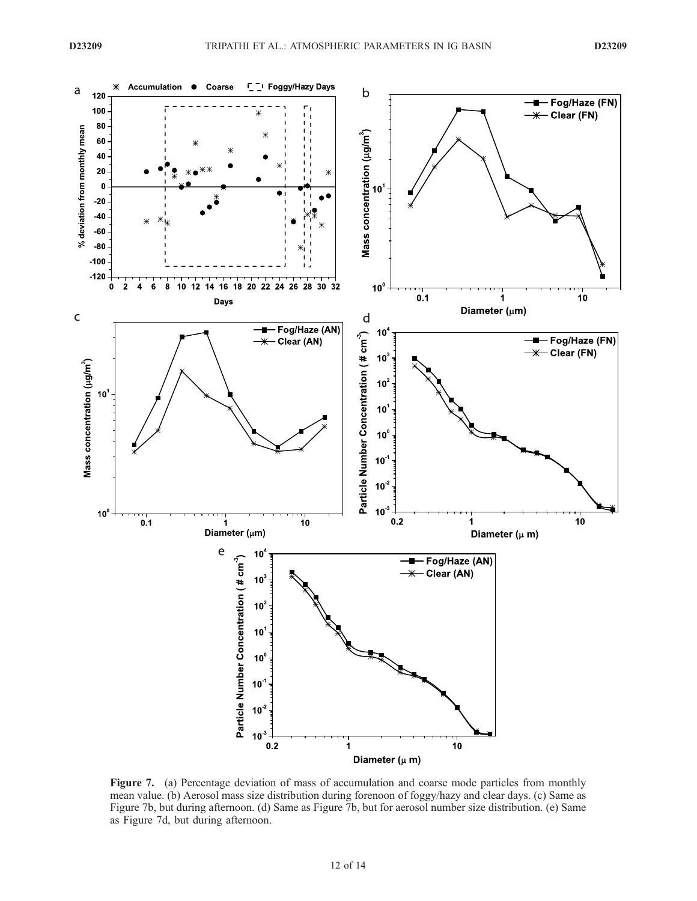

Figure 7. (a) Percentage deviation of mass of accumulation and coarse mode particles from monthly mean value. (b) Aerosol mass size distribution during forenoon of foggy/hazy and clear days. (c) Same as Figure 7b, but during afternoon. (d) Same as Figure 7b, but for aerosol number size distribution. (e) Same as Figure 7d, but during afternoon.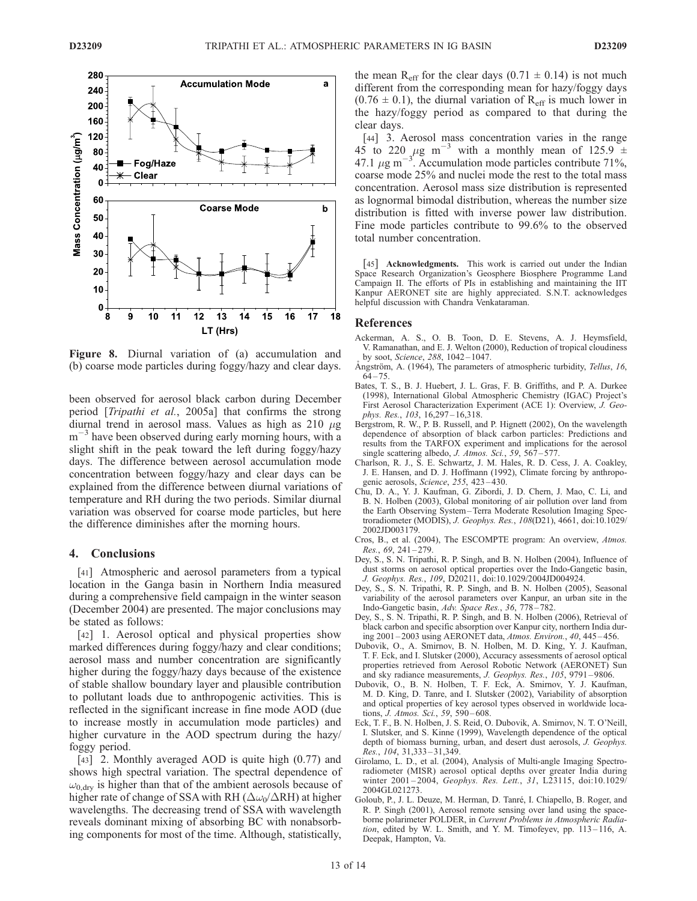

Figure 8. Diurnal variation of (a) accumulation and (b) coarse mode particles during foggy/hazy and clear days.

been observed for aerosol black carbon during December period [Tripathi et al., 2005a] that confirms the strong diurnal trend in aerosol mass. Values as high as  $210 \mu$ g m<sup>-3</sup> have been observed during early morning hours, with a slight shift in the peak toward the left during foggy/hazy days. The difference between aerosol accumulation mode concentration between foggy/hazy and clear days can be explained from the difference between diurnal variations of temperature and RH during the two periods. Similar diurnal variation was observed for coarse mode particles, but here the difference diminishes after the morning hours.

#### 4. Conclusions

[41] Atmospheric and aerosol parameters from a typical location in the Ganga basin in Northern India measured during a comprehensive field campaign in the winter season (December 2004) are presented. The major conclusions may be stated as follows:

[42] 1. Aerosol optical and physical properties show marked differences during foggy/hazy and clear conditions; aerosol mass and number concentration are significantly higher during the foggy/hazy days because of the existence of stable shallow boundary layer and plausible contribution to pollutant loads due to anthropogenic activities. This is reflected in the significant increase in fine mode AOD (due to increase mostly in accumulation mode particles) and higher curvature in the AOD spectrum during the hazy/ foggy period.

[43] 2. Monthly averaged AOD is quite high  $(0.77)$  and shows high spectral variation. The spectral dependence of  $\omega_{0, \text{dry}}$  is higher than that of the ambient aerosols because of higher rate of change of SSA with RH ( $\Delta\omega_0/\Delta$ RH) at higher wavelengths. The decreasing trend of SSA with wavelength reveals dominant mixing of absorbing BC with nonabsorbing components for most of the time. Although, statistically,

the mean R<sub>eff</sub> for the clear days ( $0.71 \pm 0.14$ ) is not much different from the corresponding mean for hazy/foggy days  $(0.76 \pm 0.1)$ , the diurnal variation of R<sub>eff</sub> is much lower in the hazy/foggy period as compared to that during the clear days.

[44] 3. Aerosol mass concentration varies in the range 45 to 220  $\mu$ g m<sup>-3</sup> with a monthly mean of 125.9  $\pm$ 47.1  $\mu$ g m<sup>-3'</sup>. Accumulation mode particles contribute 71%, coarse mode 25% and nuclei mode the rest to the total mass concentration. Aerosol mass size distribution is represented as lognormal bimodal distribution, whereas the number size distribution is fitted with inverse power law distribution. Fine mode particles contribute to 99.6% to the observed total number concentration.

[45] Acknowledgments. This work is carried out under the Indian Space Research Organization's Geosphere Biosphere Programme Land Campaign II. The efforts of PIs in establishing and maintaining the IIT Kanpur AERONET site are highly appreciated. S.N.T. acknowledges helpful discussion with Chandra Venkataraman.

### **References**

- Ackerman, A. S., O. B. Toon, D. E. Stevens, A. J. Heymsfield, V. Ramanathan, and E. J. Welton (2000), Reduction of tropical cloudiness by soot, Science, 288, 1042 – 1047.
- Ångström, A. (1964), The parameters of atmospheric turbidity, Tellus, 16,  $64 - 75$
- Bates, T. S., B. J. Huebert, J. L. Gras, F. B. Griffiths, and P. A. Durkee (1998), International Global Atmospheric Chemistry (IGAC) Project's First Aerosol Characterization Experiment (ACE 1): Overview, J. Geophys. Res., 103, 16,297-16,318.
- Bergstrom, R. W., P. B. Russell, and P. Hignett (2002), On the wavelength dependence of absorption of black carbon particles: Predictions and results from the TARFOX experiment and implications for the aerosol single scattering albedo, J. Atmos. Sci., 59,  $567 - 577$ .
- Charlson, R. J., S. E. Schwartz, J. M. Hales, R. D. Cess, J. A. Coakley, J. E. Hansen, and D. J. Hoffmann (1992), Climate forcing by anthropogenic aerosols, Science, 255, 423 – 430.
- Chu, D. A., Y. J. Kaufman, G. Zibordi, J. D. Chern, J. Mao, C. Li, and B. N. Holben (2003), Global monitoring of air pollution over land from the Earth Observing System –Terra Moderate Resolution Imaging Spectroradiometer (MODIS), J. Geophys. Res., 108(D21), 4661, doi:10.1029/ 2002JD003179.
- Cros, B., et al. (2004), The ESCOMPTE program: An overview, Atmos. Res., 69, 241 – 279.
- Dey, S., S. N. Tripathi, R. P. Singh, and B. N. Holben (2004), Influence of dust storms on aerosol optical properties over the Indo-Gangetic basin, J. Geophys. Res., 109, D20211, doi:10.1029/2004JD004924.
- Dey, S., S. N. Tripathi, R. P. Singh, and B. N. Holben (2005), Seasonal variability of the aerosol parameters over Kanpur, an urban site in the Indo-Gangetic basin, Adv. Space Res., 36, 778-782.
- Dey, S., S. N. Tripathi, R. P. Singh, and B. N. Holben (2006), Retrieval of black carbon and specific absorption over Kanpur city, northern India during 2001 – 2003 using AERONET data, Atmos. Environ., 40, 445 – 456.
- Dubovik, O., A. Smirnov, B. N. Holben, M. D. King, Y. J. Kaufman, T. F. Eck, and I. Slutsker (2000), Accuracy assessments of aerosol optical properties retrieved from Aerosol Robotic Network (AERONET) Sun and sky radiance measurements, J. Geophys. Res., 105, 9791 – 9806.
- Dubovik, O., B. N. Holben, T. F. Eck, A. Smirnov, Y. J. Kaufman, M. D. King, D. Tanre, and I. Slutsker (2002), Variability of absorption and optical properties of key aerosol types observed in worldwide locations, J. Atmos. Sci., 59, 590-608.
- Eck, T. F., B. N. Holben, J. S. Reid, O. Dubovik, A. Smirnov, N. T. O'Neill, I. Slutsker, and S. Kinne (1999), Wavelength dependence of the optical depth of biomass burning, urban, and desert dust aerosols, J. Geophys. Res., 104, 31,333 – 31,349.
- Girolamo, L. D., et al. (2004), Analysis of Multi-angle Imaging Spectroradiometer (MISR) aerosol optical depths over greater India during winter 2001-2004, Geophys. Res. Lett., 31, L23115, doi:10.1029/ 2004GL021273.
- Goloub, P., J. L. Deuze, M. Herman, D. Tanré, I. Chiapello, B. Roger, and R. P. Singh (2001), Aerosol remote sensing over land using the spaceborne polarimeter POLDER, in Current Problems in Atmospheric Radia $tion$ , edited by W. L. Smith, and Y. M. Timofeyev, pp.  $113-116$ , A. Deepak, Hampton, Va.